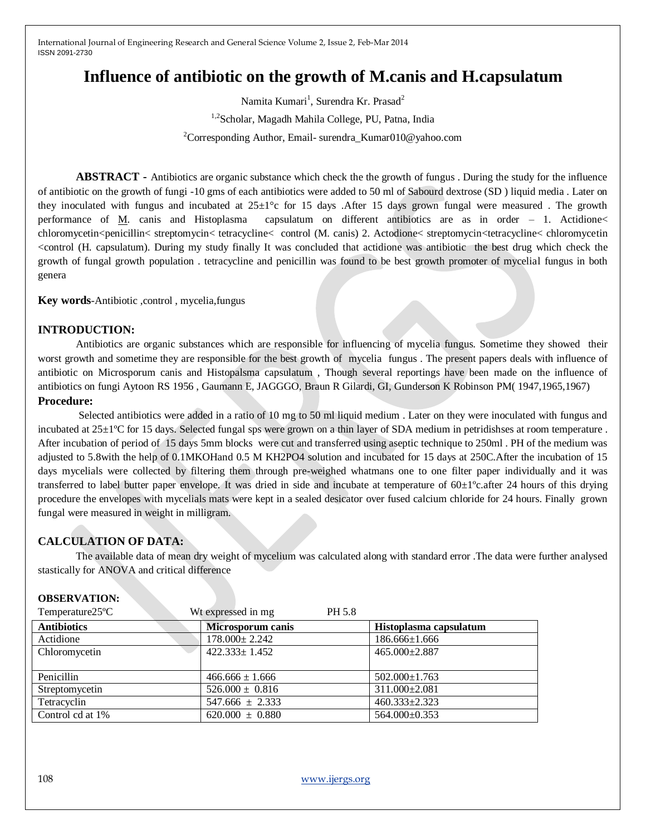# **Influence of antibiotic on the growth of M.canis and H.capsulatum**

Namita Kumari<sup>1</sup>, Surendra Kr. Prasad<sup>2</sup> 1,2 Scholar, Magadh Mahila College, PU, Patna, India <sup>2</sup>Corresponding Author, Email- surendra\_Kumar010@yahoo.com

**ABSTRACT -** Antibiotics are organic substance which check the the growth of fungus . During the study for the influence of antibiotic on the growth of fungi -10 gms of each antibiotics were added to 50 ml of Sabourd dextrose (SD ) liquid media . Later on they inoculated with fungus and incubated at  $25\pm1^{\circ}$ c for 15 days. After 15 days grown fungal were measured. The growth performance of M. canis and Histoplasma capsulatum on different antibiotics are as in order – 1. Actidione< chloromycetin<penicillin< streptomycin< tetracycline< control (M. canis) 2. Actodione< streptomycin<tetracycline< chloromycetin <control (H. capsulatum). During my study finally It was concluded that actidione was antibiotic the best drug which check the growth of fungal growth population . tetracycline and penicillin was found to be best growth promoter of mycelial fungus in both genera

**Key words-Antibiotic**, control, mycelia, fungus

## **INTRODUCTION:**

Antibiotics are organic substances which are responsible for influencing of mycelia fungus. Sometime they showed their worst growth and sometime they are responsible for the best growth of mycelia fungus . The present papers deals with influence of antibiotic on Microsporum canis and Histopalsma capsulatum , Though several reportings have been made on the influence of antibiotics on fungi Aytoon RS 1956 , Gaumann E, JAGGGO, Braun R Gilardi, GI, Gunderson K Robinson PM( 1947,1965,1967) **Procedure:**

Selected antibiotics were added in a ratio of 10 mg to 50 ml liquid medium . Later on they were inoculated with fungus and incubated at 25±1ºC for 15 days. Selected fungal sps were grown on a thin layer of SDA medium in petridishses at room temperature . After incubation of period of 15 days 5mm blocks were cut and transferred using aseptic technique to 250ml . PH of the medium was adjusted to 5.8with the help of 0.1MKOHand 0.5 M KH2PO4 solution and incubated for 15 days at 250C.After the incubation of 15 days mycelials were collected by filtering them through pre-weighed whatmans one to one filter paper individually and it was transferred to label butter paper envelope. It was dried in side and incubate at temperature of 60±1ºc.after 24 hours of this drying procedure the envelopes with mycelials mats were kept in a sealed desicator over fused calcium chloride for 24 hours. Finally grown fungal were measured in weight in milligram.

# **CALCULATION OF DATA:**

The available data of mean dry weight of mycelium was calculated along with standard error .The data were further analysed stastically for ANOVA and critical difference

# **OBSERVATION:**

| Temperature25 <sup>o</sup> C | Wt expressed in mg<br>PH 5.8 |                        |
|------------------------------|------------------------------|------------------------|
| <b>Antibiotics</b>           | <b>Microsporum canis</b>     | Histoplasma capsulatum |
| Actidione                    | $178.000 \pm 2.242$          | $186.666 \pm 1.666$    |
| Chloromycetin                | $422.333 \pm 1.452$          | $465.000 \pm 2.887$    |
|                              |                              |                        |
| Penicillin                   | $466.666 \pm 1.666$          | $502.000 \pm 1.763$    |
| Streptomycetin               | $526.000 \pm 0.816$          | 311.000±2.081          |
| Tetracyclin                  | $547.666 \pm 2.333$          | 460.333±2.323          |
| Control cd at 1%             | $620.000 \pm 0.880$          | 564.000±0.353          |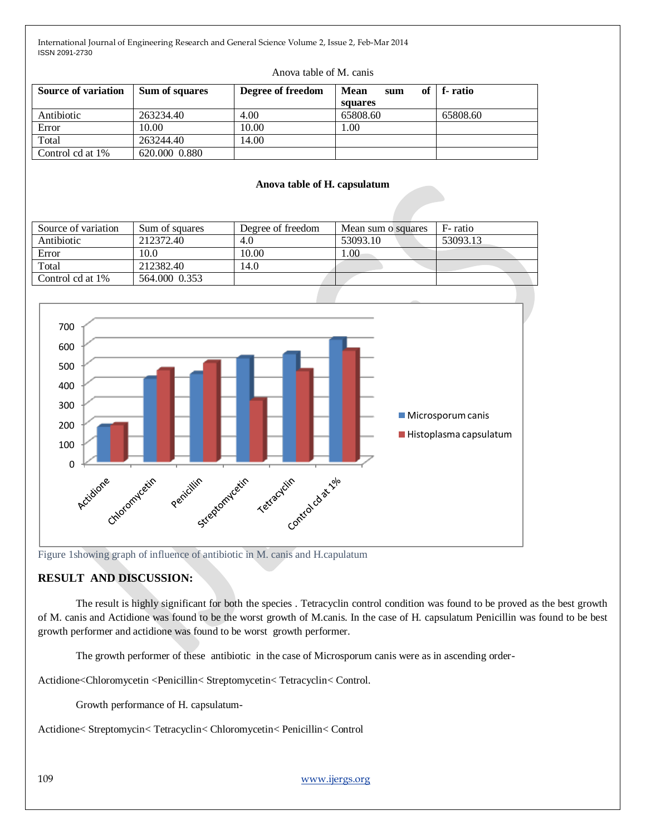| <b>Source of variation</b>                                                                                                                                         | Sum of squares | Degree of freedom            | <b>Mean</b><br>of<br>sum<br>squares | f-ratio  |  |
|--------------------------------------------------------------------------------------------------------------------------------------------------------------------|----------------|------------------------------|-------------------------------------|----------|--|
| Antibiotic                                                                                                                                                         | 263234.40      | 4.00                         | 65808.60                            | 65808.60 |  |
| Error                                                                                                                                                              | 10.00          | 10.00                        | 1.00                                |          |  |
| Total                                                                                                                                                              | 263244.40      | 14.00                        |                                     |          |  |
| Control cd at 1%                                                                                                                                                   | 620.000 0.880  |                              |                                     |          |  |
|                                                                                                                                                                    |                | Anova table of H. capsulatum |                                     |          |  |
| Source of variation                                                                                                                                                | Sum of squares | Degree of freedom            | Mean sum o squares                  | F-ratio  |  |
| Antibiotic                                                                                                                                                         | 212372.40      | 4.0                          | 53093.10                            | 53093.13 |  |
| Error                                                                                                                                                              | 10.0           | 10.00                        | 1.00                                |          |  |
| Total                                                                                                                                                              | 212382.40      | 14.0                         |                                     |          |  |
| Control cd at 1%                                                                                                                                                   | 564.000 0.353  |                              |                                     |          |  |
| 700<br>600<br>500<br>400<br>300<br>Microsporum canis<br>200<br>Histoplasma capsulatum<br>100<br>$\pmb{0}$<br>Actidione chompletin pencillin cetter retired datable |                |                              |                                     |          |  |

#### Anova table of M. canis

Figure 1showing graph of influence of antibiotic in M. canis and H.capulatum

# **RESULT AND DISCUSSION:**

The result is highly significant for both the species . Tetracyclin control condition was found to be proved as the best growth of M. canis and Actidione was found to be the worst growth of M.canis. In the case of H. capsulatum Penicillin was found to be best growth performer and actidione was found to be worst growth performer.

The growth performer of these antibiotic in the case of Microsporum canis were as in ascending order-

Actidione<Chloromycetin <Penicillin< Streptomycetin< Tetracyclin< Control.

Growth performance of H. capsulatum-

Actidione< Streptomycin< Tetracyclin< Chloromycetin< Penicillin< Control

109 [www.ijergs.org](http://www.ijergs.org/)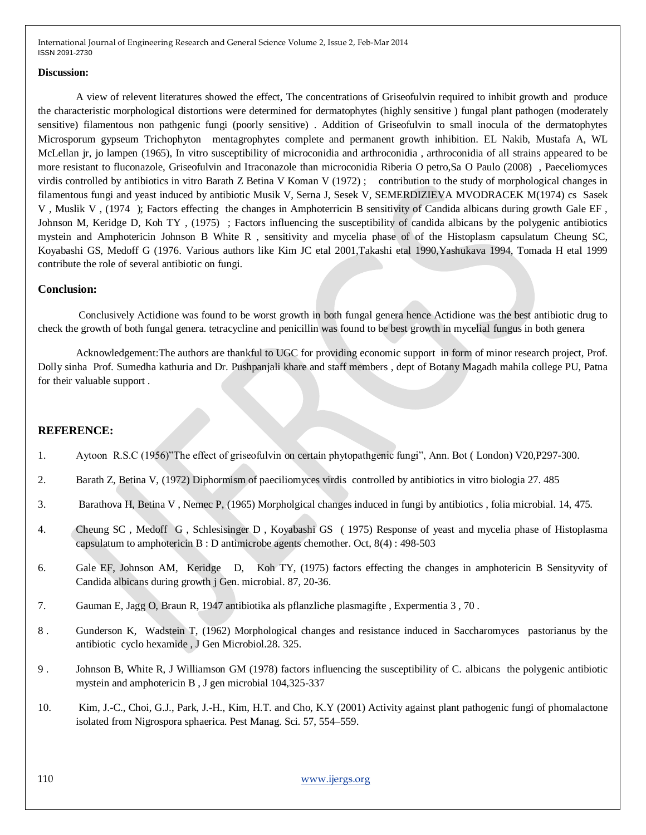#### **Discussion:**

A view of relevent literatures showed the effect, The concentrations of Griseofulvin required to inhibit growth and produce the characteristic morphological distortions were determined for dermatophytes (highly sensitive ) fungal plant pathogen (moderately sensitive) filamentous non pathgenic fungi (poorly sensitive) . Addition of Griseofulvin to small inocula of the dermatophytes Microsporum gypseum Trichophyton mentagrophytes complete and permanent growth inhibition. EL Nakib, Mustafa A, WL McLellan jr, jo lampen (1965), In vitro susceptibility of microconidia and arthroconidia , arthroconidia of all strains appeared to be more resistant to fluconazole, Griseofulvin and Itraconazole than microconidia Riberia O petro,Sa O Paulo (2008) , Paeceliomyces virdis controlled by antibiotics in vitro Barath Z Betina V Koman V (1972) ; contribution to the study of morphological changes in filamentous fungi and yeast induced by antibiotic Musik V, Serna J, Sesek V, SEMERDIZIEVA MVODRACEK M(1974) cs Sasek V , Muslik V , (1974 ); Factors effecting the changes in Amphoterricin B sensitivity of Candida albicans during growth Gale EF , Johnson M, Keridge D, Koh TY , (1975) ; Factors influencing the susceptibility of candida albicans by the polygenic antibiotics mystein and Amphotericin Johnson B White R , sensitivity and mycelia phase of of the Histoplasm capsulatum Cheung SC, Koyabashi GS, Medoff G (1976. Various authors like Kim JC etal 2001,Takashi etal 1990,Yashukava 1994, Tomada H etal 1999 contribute the role of several antibiotic on fungi.

### **Conclusion:**

Conclusively Actidione was found to be worst growth in both fungal genera hence Actidione was the best antibiotic drug to check the growth of both fungal genera. tetracycline and penicillin was found to be best growth in mycelial fungus in both genera

Acknowledgement:The authors are thankful to UGC for providing economic support in form of minor research project, Prof. Dolly sinha Prof. Sumedha kathuria and Dr. Pushpanjali khare and staff members , dept of Botany Magadh mahila college PU, Patna for their valuable support .

### **REFERENCE:**

- 1. Aytoon R.S.C (1956)"The effect of griseofulvin on certain phytopathgenic fungi", Ann. Bot ( London) V20,P297-300.
- 2. Barath Z, Betina V, (1972) Diphormism of paeciliomyces virdis controlled by antibiotics in vitro biologia 27. 485
- 3. Barathova H, Betina V , Nemec P, (1965) Morpholgical changes induced in fungi by antibiotics , folia microbial. 14, 475.
- 4. Cheung SC , Medoff G , Schlesisinger D , Koyabashi GS ( 1975) Response of yeast and mycelia phase of Histoplasma capsulatum to amphotericin B : D antimicrobe agents chemother. Oct, 8(4) : 498-503
- 6. Gale EF, Johnson AM, Keridge D, Koh TY, (1975) factors effecting the changes in amphotericin B Sensityvity of Candida albicans during growth j Gen. microbial. 87, 20-36.
- 7. Gauman E, Jagg O, Braun R, 1947 antibiotika als pflanzliche plasmagifte , Expermentia 3 , 70 .
- 8 . Gunderson K, Wadstein T, (1962) Morphological changes and resistance induced in Saccharomyces pastorianus by the antibiotic cyclo hexamide , J Gen Microbiol.28. 325.
- 9 . Johnson B, White R, J Williamson GM (1978) factors influencing the susceptibility of C. albicans the polygenic antibiotic mystein and amphotericin B , J gen microbial 104,325-337
- 10. Kim, J.-C., Choi, G.J., Park, J.-H., Kim, H.T. and Cho, K.Y (2001) Activity against plant pathogenic fungi of phomalactone isolated from Nigrospora sphaerica. Pest Manag. Sci. 57, 554–559.